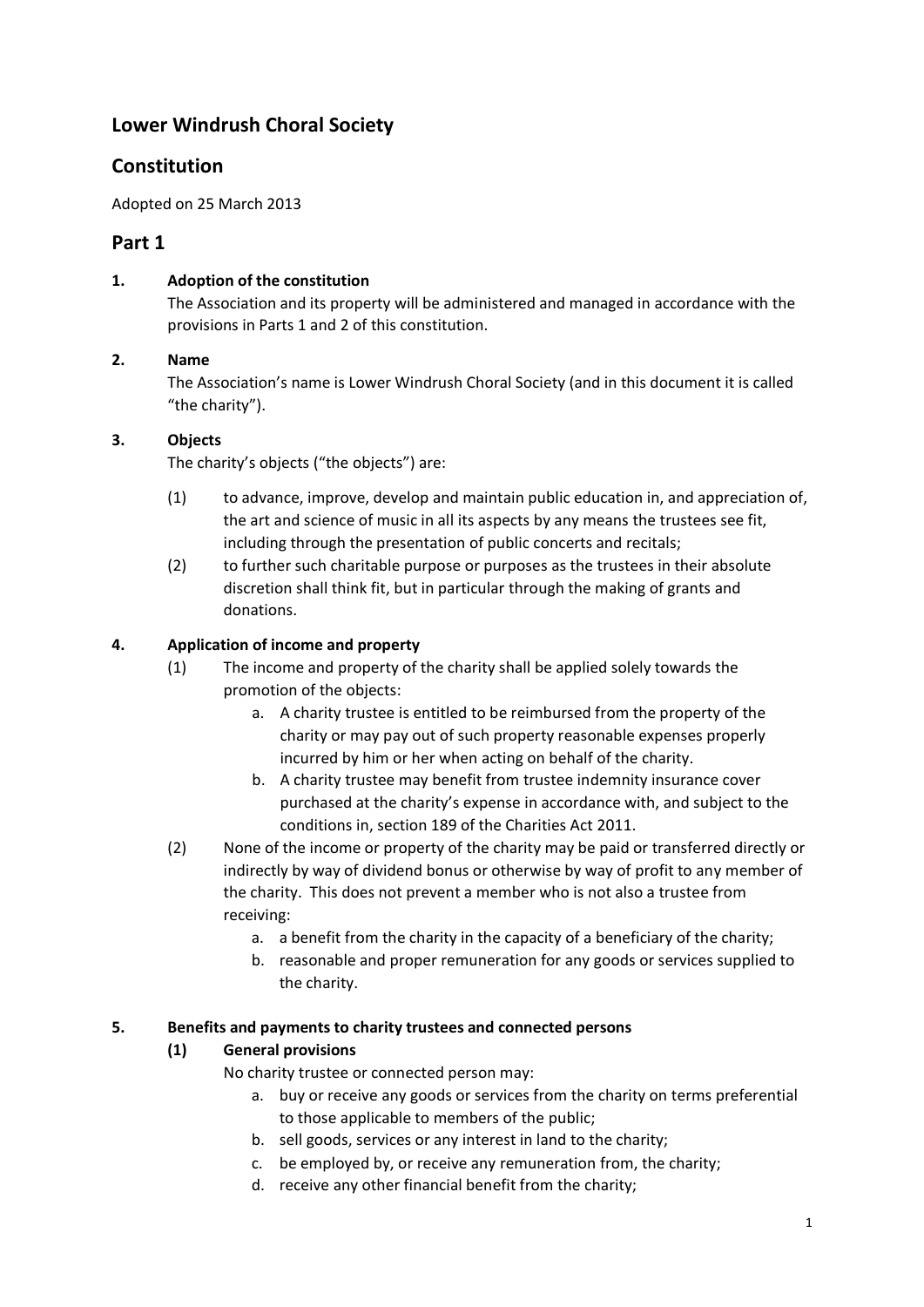# **Lower Windrush Choral Society**

# **Constitution**

Adopted on 25 March 2013

# **Part 1**

# **1. Adoption of the constitution**

The Association and its property will be administered and managed in accordance with the provisions in Parts 1 and 2 of this constitution.

# **2. Name**

The Association's name is Lower Windrush Choral Society (and in this document it is called "the charity").

# **3. Objects**

The charity's objects ("the objects") are:

- (1) to advance, improve, develop and maintain public education in, and appreciation of, the art and science of music in all its aspects by any means the trustees see fit, including through the presentation of public concerts and recitals;
- (2) to further such charitable purpose or purposes as the trustees in their absolute discretion shall think fit, but in particular through the making of grants and donations.

# **4. Application of income and property**

- (1) The income and property of the charity shall be applied solely towards the promotion of the objects:
	- a. A charity trustee is entitled to be reimbursed from the property of the charity or may pay out of such property reasonable expenses properly incurred by him or her when acting on behalf of the charity.
	- b. A charity trustee may benefit from trustee indemnity insurance cover purchased at the charity's expense in accordance with, and subject to the conditions in, section 189 of the Charities Act 2011.
- (2) None of the income or property of the charity may be paid or transferred directly or indirectly by way of dividend bonus or otherwise by way of profit to any member of the charity. This does not prevent a member who is not also a trustee from receiving:
	- a. a benefit from the charity in the capacity of a beneficiary of the charity;
	- b. reasonable and proper remuneration for any goods or services supplied to the charity.

#### **5. Benefits and payments to charity trustees and connected persons**

# **(1) General provisions**

No charity trustee or connected person may:

- a. buy or receive any goods or services from the charity on terms preferential to those applicable to members of the public;
- b. sell goods, services or any interest in land to the charity;
- c. be employed by, or receive any remuneration from, the charity;
- d. receive any other financial benefit from the charity;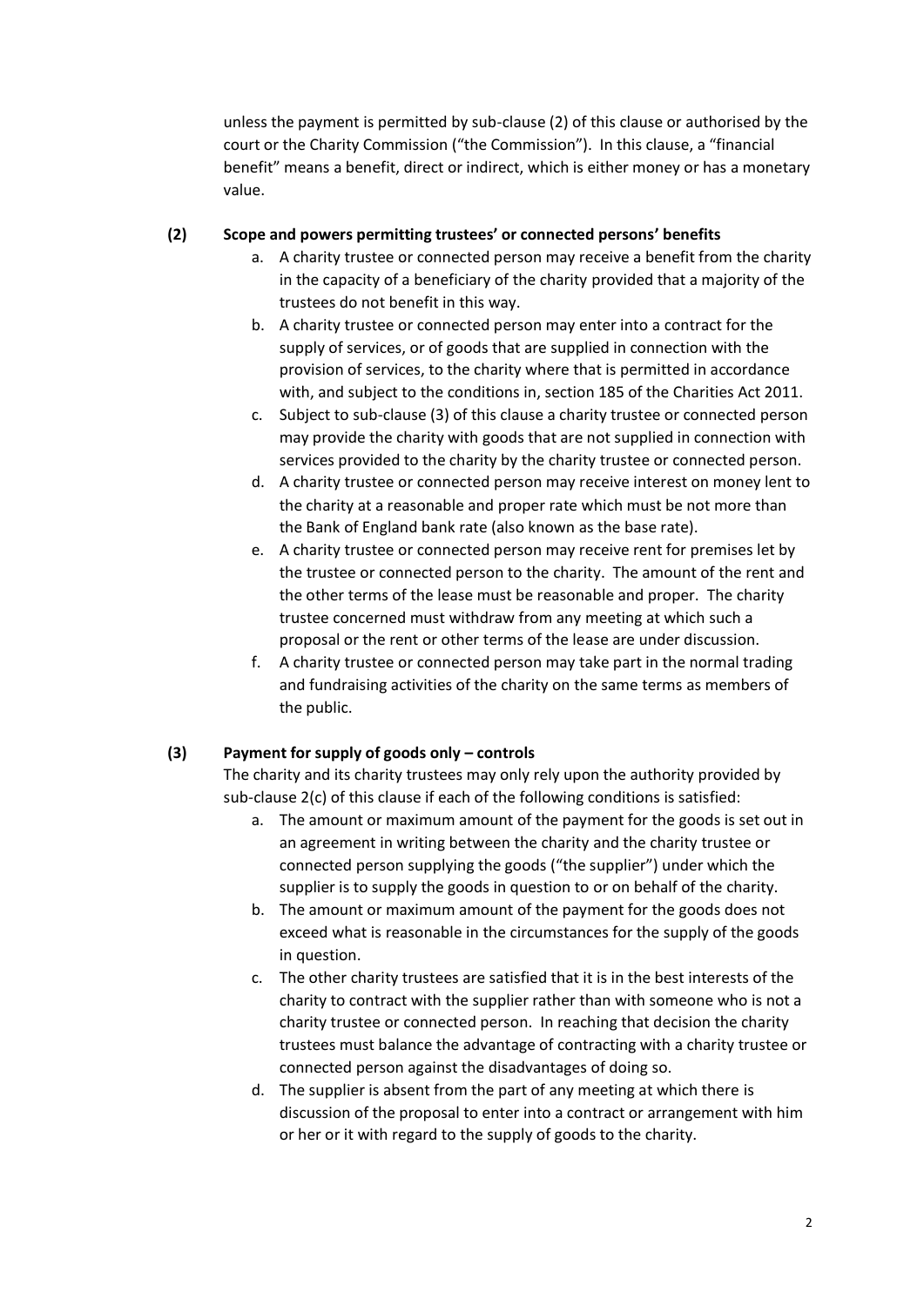unless the payment is permitted by sub-clause (2) of this clause or authorised by the court or the Charity Commission ("the Commission"). In this clause, a "financial benefit" means a benefit, direct or indirect, which is either money or has a monetary value.

#### **(2) Scope and powers permitting trustees' or connected persons' benefits**

- a. A charity trustee or connected person may receive a benefit from the charity in the capacity of a beneficiary of the charity provided that a majority of the trustees do not benefit in this way.
- b. A charity trustee or connected person may enter into a contract for the supply of services, or of goods that are supplied in connection with the provision of services, to the charity where that is permitted in accordance with, and subject to the conditions in, section 185 of the Charities Act 2011.
- c. Subject to sub-clause (3) of this clause a charity trustee or connected person may provide the charity with goods that are not supplied in connection with services provided to the charity by the charity trustee or connected person.
- d. A charity trustee or connected person may receive interest on money lent to the charity at a reasonable and proper rate which must be not more than the Bank of England bank rate (also known as the base rate).
- e. A charity trustee or connected person may receive rent for premises let by the trustee or connected person to the charity. The amount of the rent and the other terms of the lease must be reasonable and proper. The charity trustee concerned must withdraw from any meeting at which such a proposal or the rent or other terms of the lease are under discussion.
- f. A charity trustee or connected person may take part in the normal trading and fundraising activities of the charity on the same terms as members of the public.

#### **(3) Payment for supply of goods only – controls**

The charity and its charity trustees may only rely upon the authority provided by sub-clause 2(c) of this clause if each of the following conditions is satisfied:

- a. The amount or maximum amount of the payment for the goods is set out in an agreement in writing between the charity and the charity trustee or connected person supplying the goods ("the supplier") under which the supplier is to supply the goods in question to or on behalf of the charity.
- b. The amount or maximum amount of the payment for the goods does not exceed what is reasonable in the circumstances for the supply of the goods in question.
- c. The other charity trustees are satisfied that it is in the best interests of the charity to contract with the supplier rather than with someone who is not a charity trustee or connected person. In reaching that decision the charity trustees must balance the advantage of contracting with a charity trustee or connected person against the disadvantages of doing so.
- d. The supplier is absent from the part of any meeting at which there is discussion of the proposal to enter into a contract or arrangement with him or her or it with regard to the supply of goods to the charity.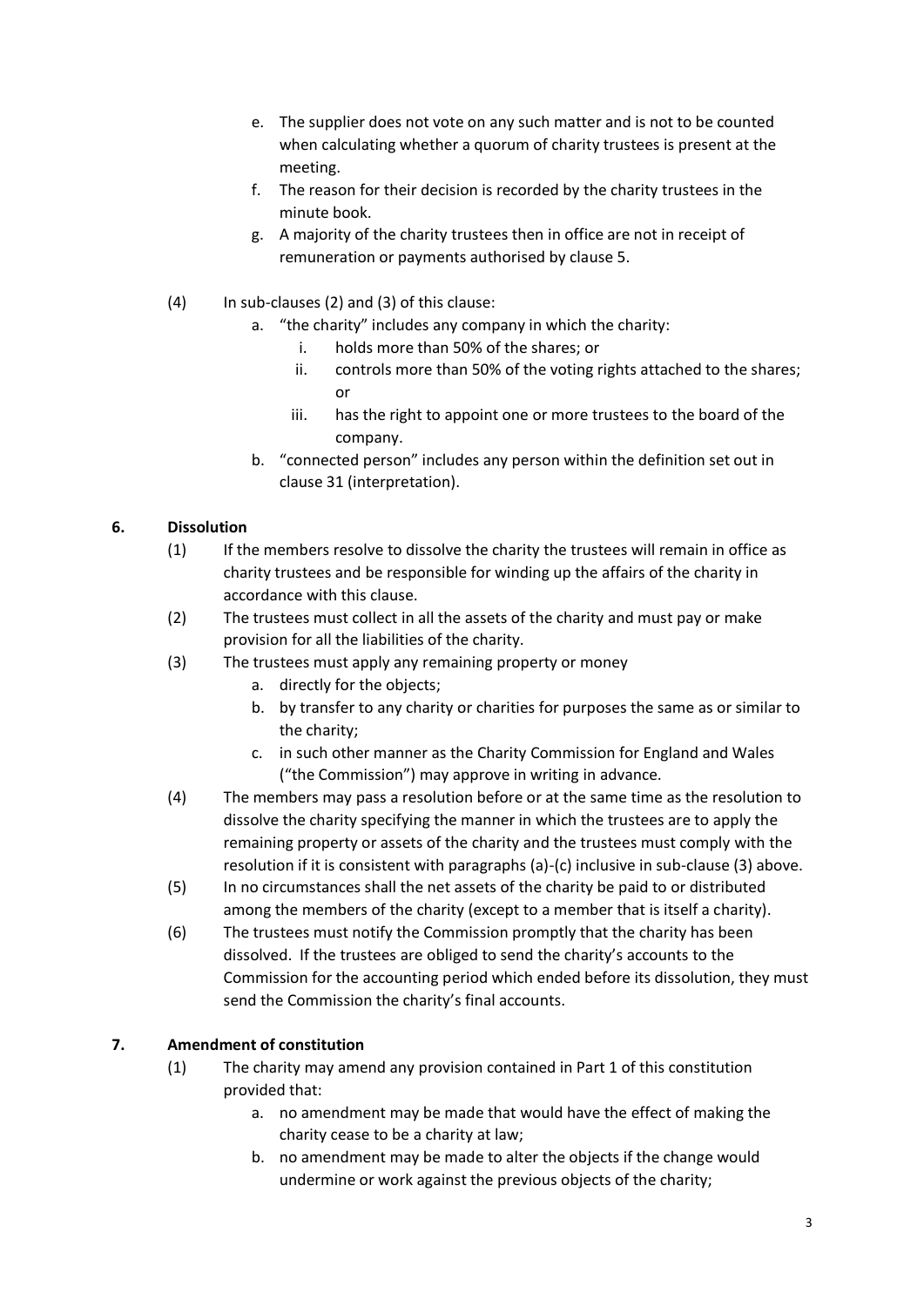- e. The supplier does not vote on any such matter and is not to be counted when calculating whether a quorum of charity trustees is present at the meeting.
- f. The reason for their decision is recorded by the charity trustees in the minute book.
- g. A majority of the charity trustees then in office are not in receipt of remuneration or payments authorised by clause 5.
- (4) In sub-clauses (2) and (3) of this clause:
	- a. "the charity" includes any company in which the charity:
		- i. holds more than 50% of the shares; or
		- ii. controls more than 50% of the voting rights attached to the shares; or
		- iii. has the right to appoint one or more trustees to the board of the company.
	- b. "connected person" includes any person within the definition set out in clause 31 (interpretation).

# **6. Dissolution**

- (1) If the members resolve to dissolve the charity the trustees will remain in office as charity trustees and be responsible for winding up the affairs of the charity in accordance with this clause.
- (2) The trustees must collect in all the assets of the charity and must pay or make provision for all the liabilities of the charity.
- (3) The trustees must apply any remaining property or money
	- a. directly for the objects;
	- b. by transfer to any charity or charities for purposes the same as or similar to the charity;
	- c. in such other manner as the Charity Commission for England and Wales ("the Commission") may approve in writing in advance.
- (4) The members may pass a resolution before or at the same time as the resolution to dissolve the charity specifying the manner in which the trustees are to apply the remaining property or assets of the charity and the trustees must comply with the resolution if it is consistent with paragraphs (a)-(c) inclusive in sub-clause (3) above.
- (5) In no circumstances shall the net assets of the charity be paid to or distributed among the members of the charity (except to a member that is itself a charity).
- (6) The trustees must notify the Commission promptly that the charity has been dissolved. If the trustees are obliged to send the charity's accounts to the Commission for the accounting period which ended before its dissolution, they must send the Commission the charity's final accounts.

# **7. Amendment of constitution**

- (1) The charity may amend any provision contained in Part 1 of this constitution provided that:
	- a. no amendment may be made that would have the effect of making the charity cease to be a charity at law;
	- b. no amendment may be made to alter the objects if the change would undermine or work against the previous objects of the charity;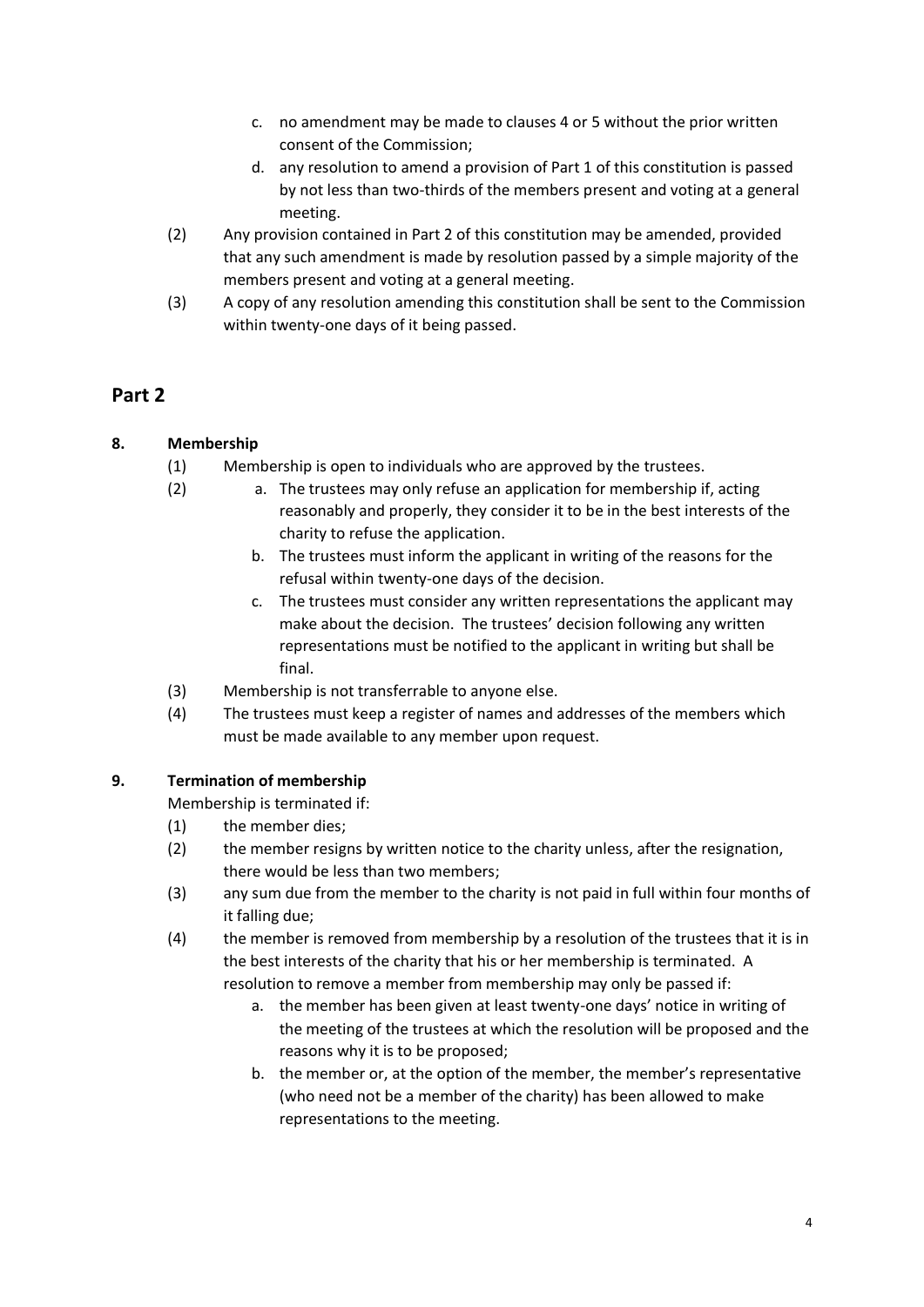- c. no amendment may be made to clauses 4 or 5 without the prior written consent of the Commission;
- d. any resolution to amend a provision of Part 1 of this constitution is passed by not less than two-thirds of the members present and voting at a general meeting.
- (2) Any provision contained in Part 2 of this constitution may be amended, provided that any such amendment is made by resolution passed by a simple majority of the members present and voting at a general meeting.
- (3) A copy of any resolution amending this constitution shall be sent to the Commission within twenty-one days of it being passed.

# **Part 2**

# **8. Membership**

- (1) Membership is open to individuals who are approved by the trustees.
- (2) a. The trustees may only refuse an application for membership if, acting reasonably and properly, they consider it to be in the best interests of the charity to refuse the application.
	- b. The trustees must inform the applicant in writing of the reasons for the refusal within twenty-one days of the decision.
	- c. The trustees must consider any written representations the applicant may make about the decision. The trustees' decision following any written representations must be notified to the applicant in writing but shall be final.
- (3) Membership is not transferrable to anyone else.
- (4) The trustees must keep a register of names and addresses of the members which must be made available to any member upon request.

# **9. Termination of membership**

Membership is terminated if:

- (1) the member dies;
- (2) the member resigns by written notice to the charity unless, after the resignation, there would be less than two members;
- (3) any sum due from the member to the charity is not paid in full within four months of it falling due;
- (4) the member is removed from membership by a resolution of the trustees that it is in the best interests of the charity that his or her membership is terminated. A resolution to remove a member from membership may only be passed if:
	- a. the member has been given at least twenty-one days' notice in writing of the meeting of the trustees at which the resolution will be proposed and the reasons why it is to be proposed;
	- b. the member or, at the option of the member, the member's representative (who need not be a member of the charity) has been allowed to make representations to the meeting.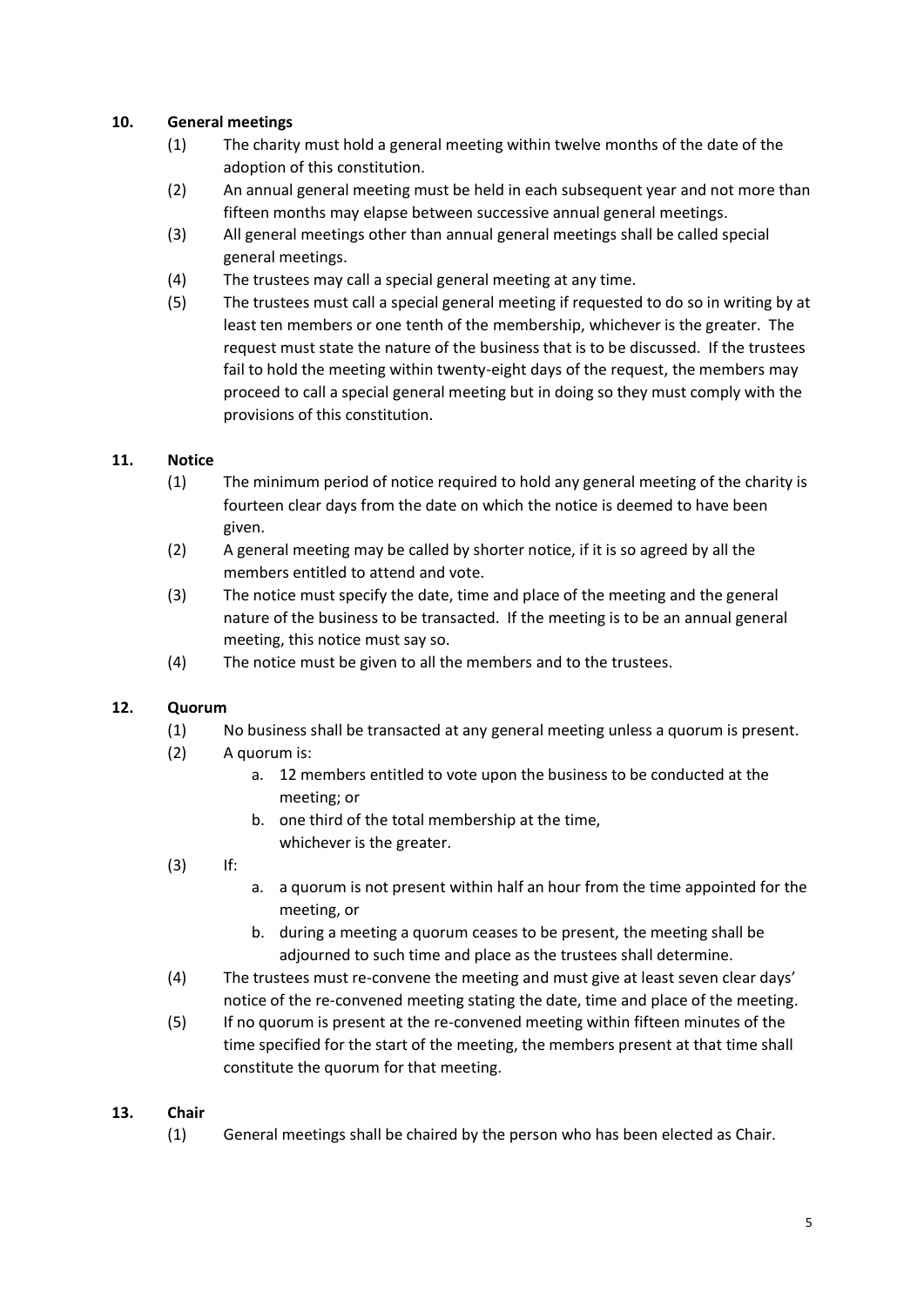#### **10. General meetings**

- (1) The charity must hold a general meeting within twelve months of the date of the adoption of this constitution.
- (2) An annual general meeting must be held in each subsequent year and not more than fifteen months may elapse between successive annual general meetings.
- (3) All general meetings other than annual general meetings shall be called special general meetings.
- (4) The trustees may call a special general meeting at any time.
- (5) The trustees must call a special general meeting if requested to do so in writing by at least ten members or one tenth of the membership, whichever is the greater. The request must state the nature of the business that is to be discussed. If the trustees fail to hold the meeting within twenty-eight days of the request, the members may proceed to call a special general meeting but in doing so they must comply with the provisions of this constitution.

#### **11. Notice**

- (1) The minimum period of notice required to hold any general meeting of the charity is fourteen clear days from the date on which the notice is deemed to have been given.
- (2) A general meeting may be called by shorter notice, if it is so agreed by all the members entitled to attend and vote.
- (3) The notice must specify the date, time and place of the meeting and the general nature of the business to be transacted. If the meeting is to be an annual general meeting, this notice must say so.
- (4) The notice must be given to all the members and to the trustees.

#### **12. Quorum**

- (1) No business shall be transacted at any general meeting unless a quorum is present.
- (2) A quorum is:
	- a. 12 members entitled to vote upon the business to be conducted at the meeting; or
	- b. one third of the total membership at the time, whichever is the greater.
- (3) If:
- a. a quorum is not present within half an hour from the time appointed for the meeting, or
- b. during a meeting a quorum ceases to be present, the meeting shall be adjourned to such time and place as the trustees shall determine.
- (4) The trustees must re-convene the meeting and must give at least seven clear days' notice of the re-convened meeting stating the date, time and place of the meeting.
- (5) If no quorum is present at the re-convened meeting within fifteen minutes of the time specified for the start of the meeting, the members present at that time shall constitute the quorum for that meeting.

#### **13. Chair**

(1) General meetings shall be chaired by the person who has been elected as Chair.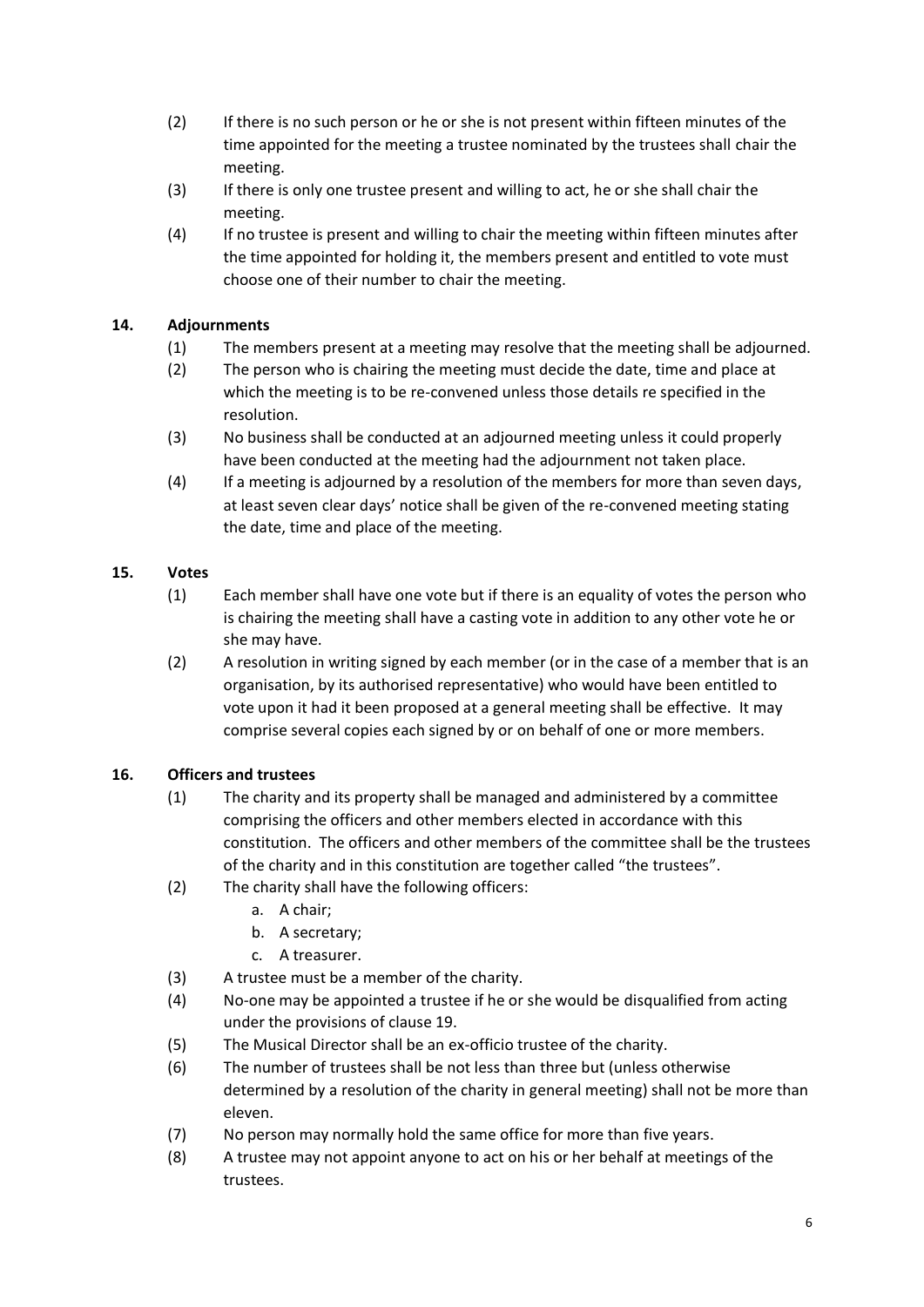- (2) If there is no such person or he or she is not present within fifteen minutes of the time appointed for the meeting a trustee nominated by the trustees shall chair the meeting.
- (3) If there is only one trustee present and willing to act, he or she shall chair the meeting.
- (4) If no trustee is present and willing to chair the meeting within fifteen minutes after the time appointed for holding it, the members present and entitled to vote must choose one of their number to chair the meeting.

# **14. Adjournments**

- (1) The members present at a meeting may resolve that the meeting shall be adjourned.
- (2) The person who is chairing the meeting must decide the date, time and place at which the meeting is to be re-convened unless those details re specified in the resolution.
- (3) No business shall be conducted at an adjourned meeting unless it could properly have been conducted at the meeting had the adjournment not taken place.
- (4) If a meeting is adjourned by a resolution of the members for more than seven days, at least seven clear days' notice shall be given of the re-convened meeting stating the date, time and place of the meeting.

# **15. Votes**

- (1) Each member shall have one vote but if there is an equality of votes the person who is chairing the meeting shall have a casting vote in addition to any other vote he or she may have.
- (2) A resolution in writing signed by each member (or in the case of a member that is an organisation, by its authorised representative) who would have been entitled to vote upon it had it been proposed at a general meeting shall be effective. It may comprise several copies each signed by or on behalf of one or more members.

# **16. Officers and trustees**

- (1) The charity and its property shall be managed and administered by a committee comprising the officers and other members elected in accordance with this constitution. The officers and other members of the committee shall be the trustees of the charity and in this constitution are together called "the trustees".
- (2) The charity shall have the following officers:
	- a. A chair;
	- b. A secretary;
	- c. A treasurer.
- (3) A trustee must be a member of the charity.
- (4) No-one may be appointed a trustee if he or she would be disqualified from acting under the provisions of clause 19.
- (5) The Musical Director shall be an ex-officio trustee of the charity.
- (6) The number of trustees shall be not less than three but (unless otherwise determined by a resolution of the charity in general meeting) shall not be more than eleven.
- (7) No person may normally hold the same office for more than five years.
- (8) A trustee may not appoint anyone to act on his or her behalf at meetings of the trustees.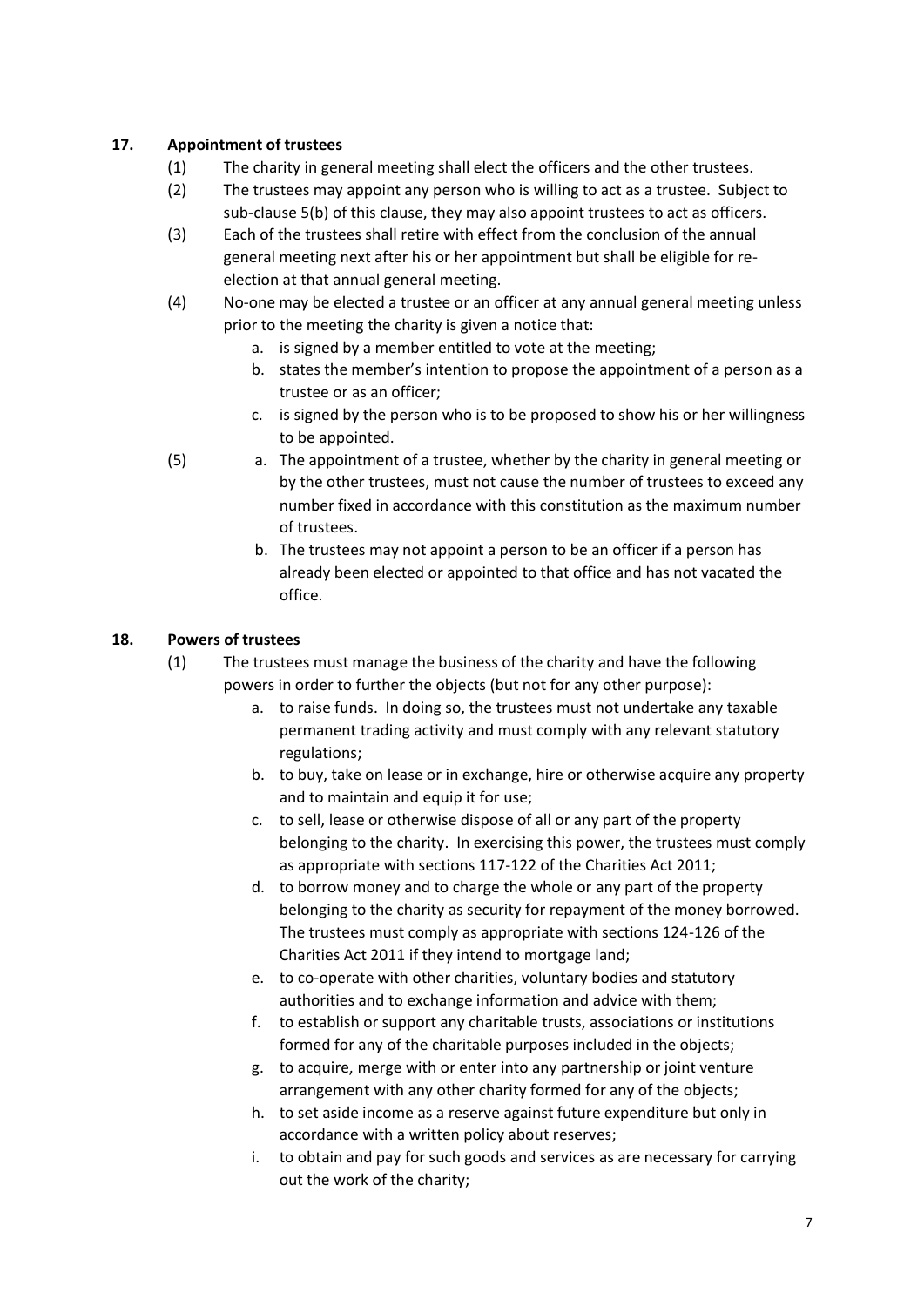### **17. Appointment of trustees**

- (1) The charity in general meeting shall elect the officers and the other trustees.
- (2) The trustees may appoint any person who is willing to act as a trustee. Subject to sub-clause 5(b) of this clause, they may also appoint trustees to act as officers.
- (3) Each of the trustees shall retire with effect from the conclusion of the annual general meeting next after his or her appointment but shall be eligible for reelection at that annual general meeting.
- (4) No-one may be elected a trustee or an officer at any annual general meeting unless prior to the meeting the charity is given a notice that:
	- a. is signed by a member entitled to vote at the meeting;
	- b. states the member's intention to propose the appointment of a person as a trustee or as an officer;
	- c. is signed by the person who is to be proposed to show his or her willingness to be appointed.
- (5) a. The appointment of a trustee, whether by the charity in general meeting or by the other trustees, must not cause the number of trustees to exceed any number fixed in accordance with this constitution as the maximum number of trustees.
	- b. The trustees may not appoint a person to be an officer if a person has already been elected or appointed to that office and has not vacated the office.

# **18. Powers of trustees**

- (1) The trustees must manage the business of the charity and have the following powers in order to further the objects (but not for any other purpose):
	- a. to raise funds. In doing so, the trustees must not undertake any taxable permanent trading activity and must comply with any relevant statutory regulations;
	- b. to buy, take on lease or in exchange, hire or otherwise acquire any property and to maintain and equip it for use;
	- c. to sell, lease or otherwise dispose of all or any part of the property belonging to the charity. In exercising this power, the trustees must comply as appropriate with sections 117-122 of the Charities Act 2011;
	- d. to borrow money and to charge the whole or any part of the property belonging to the charity as security for repayment of the money borrowed. The trustees must comply as appropriate with sections 124-126 of the Charities Act 2011 if they intend to mortgage land;
	- e. to co-operate with other charities, voluntary bodies and statutory authorities and to exchange information and advice with them;
	- f. to establish or support any charitable trusts, associations or institutions formed for any of the charitable purposes included in the objects;
	- g. to acquire, merge with or enter into any partnership or joint venture arrangement with any other charity formed for any of the objects;
	- h. to set aside income as a reserve against future expenditure but only in accordance with a written policy about reserves;
	- i. to obtain and pay for such goods and services as are necessary for carrying out the work of the charity;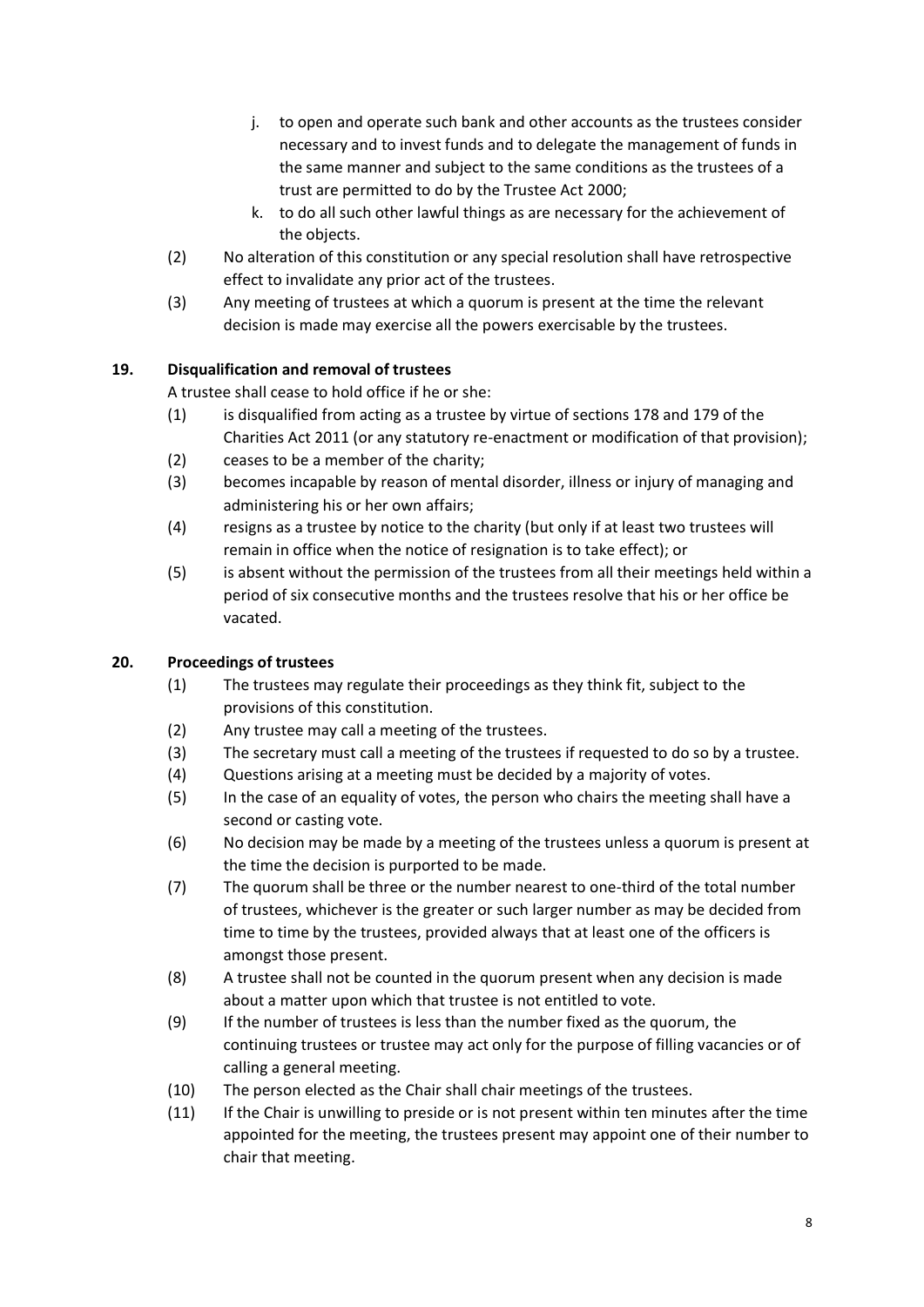- j. to open and operate such bank and other accounts as the trustees consider necessary and to invest funds and to delegate the management of funds in the same manner and subject to the same conditions as the trustees of a trust are permitted to do by the Trustee Act 2000;
- k. to do all such other lawful things as are necessary for the achievement of the objects.
- (2) No alteration of this constitution or any special resolution shall have retrospective effect to invalidate any prior act of the trustees.
- (3) Any meeting of trustees at which a quorum is present at the time the relevant decision is made may exercise all the powers exercisable by the trustees.

# **19. Disqualification and removal of trustees**

A trustee shall cease to hold office if he or she:

- (1) is disqualified from acting as a trustee by virtue of sections 178 and 179 of the Charities Act 2011 (or any statutory re-enactment or modification of that provision);
- (2) ceases to be a member of the charity;
- (3) becomes incapable by reason of mental disorder, illness or injury of managing and administering his or her own affairs;
- (4) resigns as a trustee by notice to the charity (but only if at least two trustees will remain in office when the notice of resignation is to take effect); or
- (5) is absent without the permission of the trustees from all their meetings held within a period of six consecutive months and the trustees resolve that his or her office be vacated.

# **20. Proceedings of trustees**

- (1) The trustees may regulate their proceedings as they think fit, subject to the provisions of this constitution.
- (2) Any trustee may call a meeting of the trustees.
- (3) The secretary must call a meeting of the trustees if requested to do so by a trustee.
- (4) Questions arising at a meeting must be decided by a majority of votes.
- (5) In the case of an equality of votes, the person who chairs the meeting shall have a second or casting vote.
- (6) No decision may be made by a meeting of the trustees unless a quorum is present at the time the decision is purported to be made.
- (7) The quorum shall be three or the number nearest to one-third of the total number of trustees, whichever is the greater or such larger number as may be decided from time to time by the trustees, provided always that at least one of the officers is amongst those present.
- (8) A trustee shall not be counted in the quorum present when any decision is made about a matter upon which that trustee is not entitled to vote.
- (9) If the number of trustees is less than the number fixed as the quorum, the continuing trustees or trustee may act only for the purpose of filling vacancies or of calling a general meeting.
- (10) The person elected as the Chair shall chair meetings of the trustees.
- (11) If the Chair is unwilling to preside or is not present within ten minutes after the time appointed for the meeting, the trustees present may appoint one of their number to chair that meeting.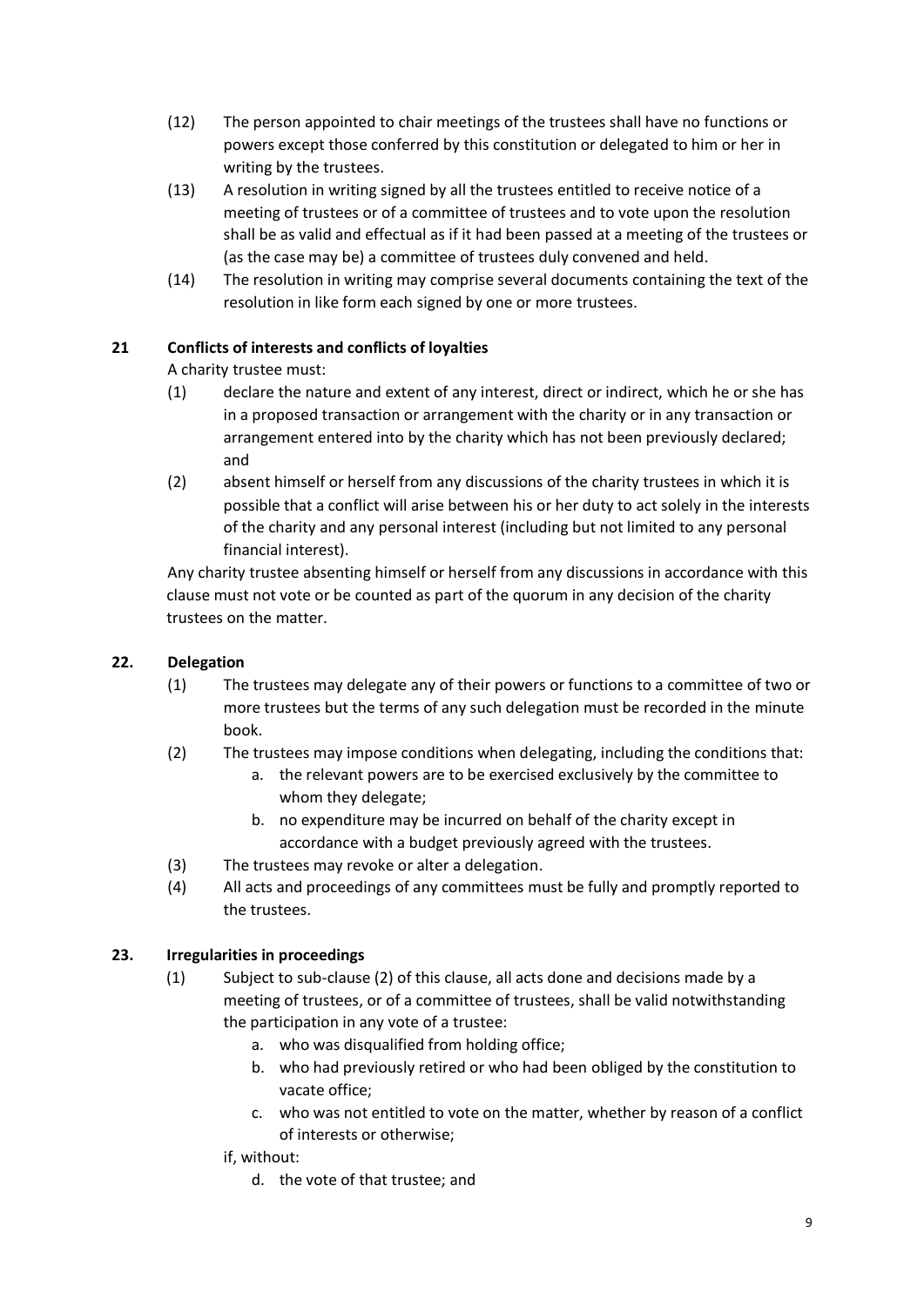- (12) The person appointed to chair meetings of the trustees shall have no functions or powers except those conferred by this constitution or delegated to him or her in writing by the trustees.
- (13) A resolution in writing signed by all the trustees entitled to receive notice of a meeting of trustees or of a committee of trustees and to vote upon the resolution shall be as valid and effectual as if it had been passed at a meeting of the trustees or (as the case may be) a committee of trustees duly convened and held.
- (14) The resolution in writing may comprise several documents containing the text of the resolution in like form each signed by one or more trustees.

# **21 Conflicts of interests and conflicts of loyalties**

A charity trustee must:

- (1) declare the nature and extent of any interest, direct or indirect, which he or she has in a proposed transaction or arrangement with the charity or in any transaction or arrangement entered into by the charity which has not been previously declared; and
- (2) absent himself or herself from any discussions of the charity trustees in which it is possible that a conflict will arise between his or her duty to act solely in the interests of the charity and any personal interest (including but not limited to any personal financial interest).

Any charity trustee absenting himself or herself from any discussions in accordance with this clause must not vote or be counted as part of the quorum in any decision of the charity trustees on the matter.

#### **22. Delegation**

- (1) The trustees may delegate any of their powers or functions to a committee of two or more trustees but the terms of any such delegation must be recorded in the minute book.
- (2) The trustees may impose conditions when delegating, including the conditions that:
	- a. the relevant powers are to be exercised exclusively by the committee to whom they delegate;
	- b. no expenditure may be incurred on behalf of the charity except in accordance with a budget previously agreed with the trustees.
- (3) The trustees may revoke or alter a delegation.
- (4) All acts and proceedings of any committees must be fully and promptly reported to the trustees.

#### **23. Irregularities in proceedings**

- (1) Subject to sub-clause (2) of this clause, all acts done and decisions made by a meeting of trustees, or of a committee of trustees, shall be valid notwithstanding the participation in any vote of a trustee:
	- a. who was disqualified from holding office;
	- b. who had previously retired or who had been obliged by the constitution to vacate office;
	- c. who was not entitled to vote on the matter, whether by reason of a conflict of interests or otherwise;

#### if, without:

d. the vote of that trustee; and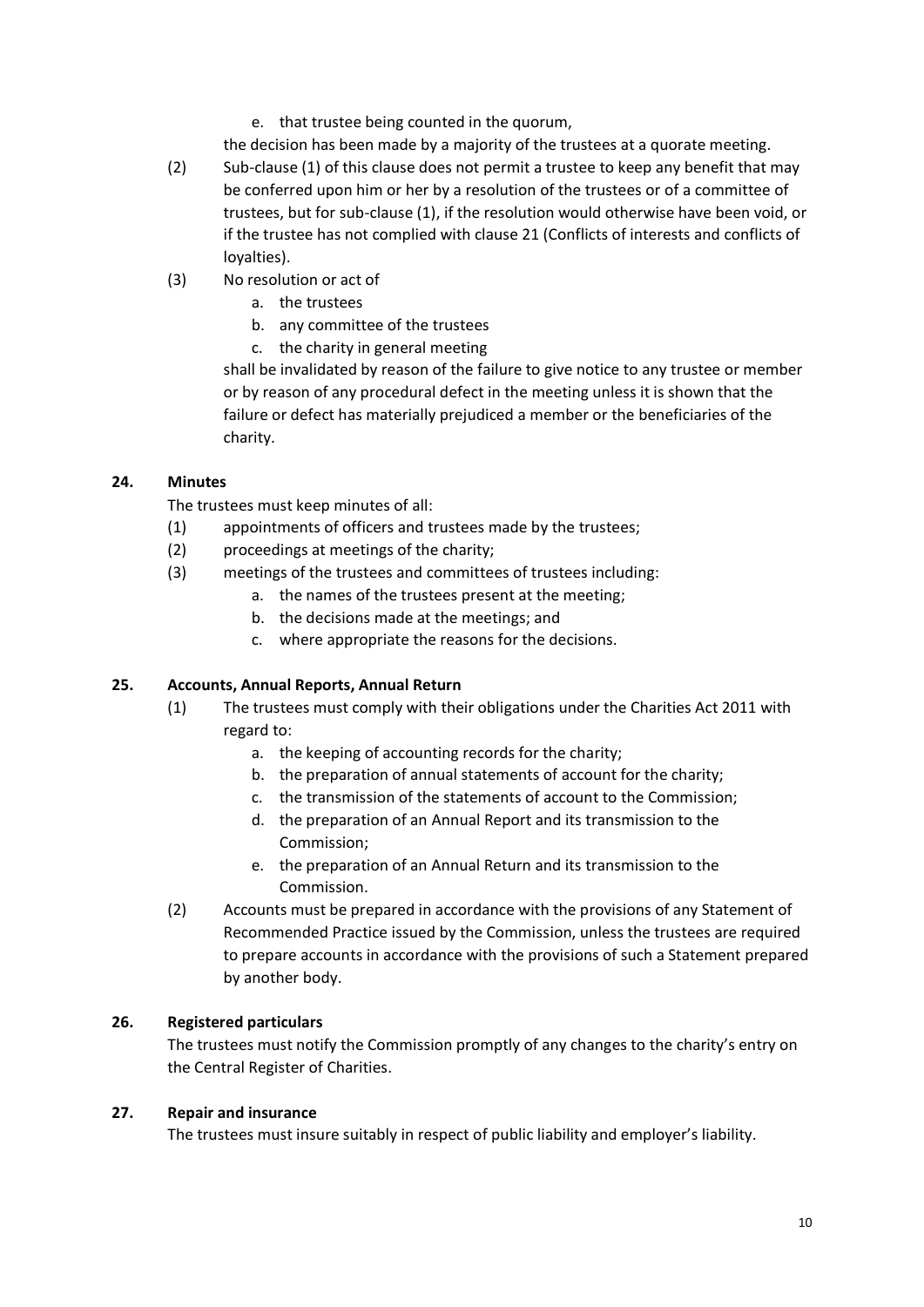e. that trustee being counted in the quorum,

the decision has been made by a majority of the trustees at a quorate meeting.

- (2) Sub-clause (1) of this clause does not permit a trustee to keep any benefit that may be conferred upon him or her by a resolution of the trustees or of a committee of trustees, but for sub-clause (1), if the resolution would otherwise have been void, or if the trustee has not complied with clause 21 (Conflicts of interests and conflicts of loyalties).
- (3) No resolution or act of
	- a. the trustees
	- b. any committee of the trustees
	- c. the charity in general meeting

shall be invalidated by reason of the failure to give notice to any trustee or member or by reason of any procedural defect in the meeting unless it is shown that the failure or defect has materially prejudiced a member or the beneficiaries of the charity.

#### **24. Minutes**

The trustees must keep minutes of all:

- (1) appointments of officers and trustees made by the trustees;
- (2) proceedings at meetings of the charity;
- (3) meetings of the trustees and committees of trustees including:
	- a. the names of the trustees present at the meeting;
	- b. the decisions made at the meetings; and
	- c. where appropriate the reasons for the decisions.

#### **25. Accounts, Annual Reports, Annual Return**

- (1) The trustees must comply with their obligations under the Charities Act 2011 with regard to:
	- a. the keeping of accounting records for the charity;
	- b. the preparation of annual statements of account for the charity;
	- c. the transmission of the statements of account to the Commission;
	- d. the preparation of an Annual Report and its transmission to the Commission;
	- e. the preparation of an Annual Return and its transmission to the Commission.
- (2) Accounts must be prepared in accordance with the provisions of any Statement of Recommended Practice issued by the Commission, unless the trustees are required to prepare accounts in accordance with the provisions of such a Statement prepared by another body.

#### **26. Registered particulars**

The trustees must notify the Commission promptly of any changes to the charity's entry on the Central Register of Charities.

#### **27. Repair and insurance**

The trustees must insure suitably in respect of public liability and employer's liability.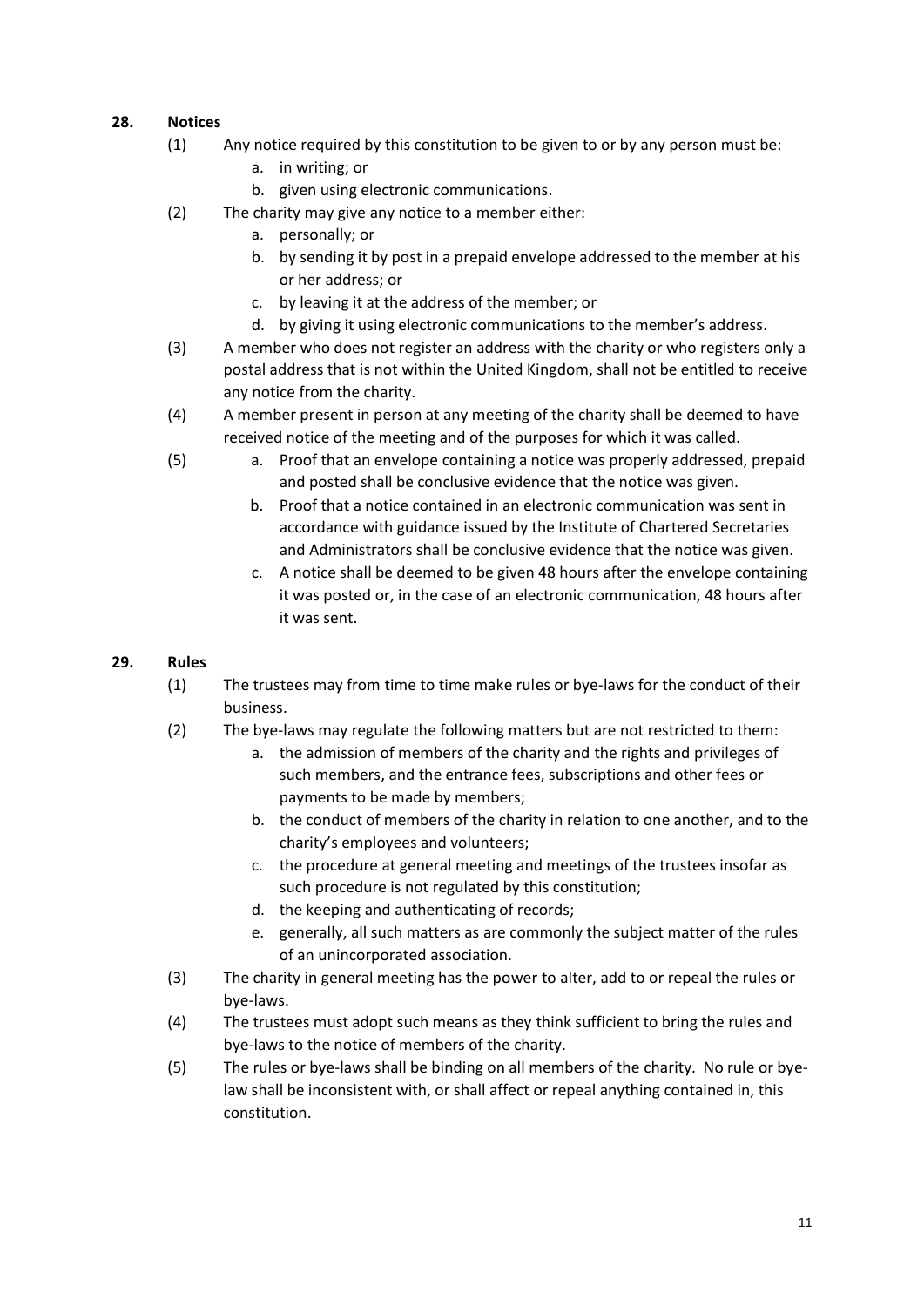### **28. Notices**

- (1) Any notice required by this constitution to be given to or by any person must be:
	- a. in writing; or
	- b. given using electronic communications.
- (2) The charity may give any notice to a member either:
	- a. personally; or
	- b. by sending it by post in a prepaid envelope addressed to the member at his or her address; or
	- c. by leaving it at the address of the member; or
	- d. by giving it using electronic communications to the member's address.
- (3) A member who does not register an address with the charity or who registers only a postal address that is not within the United Kingdom, shall not be entitled to receive any notice from the charity.
- (4) A member present in person at any meeting of the charity shall be deemed to have received notice of the meeting and of the purposes for which it was called.
- (5) a. Proof that an envelope containing a notice was properly addressed, prepaid and posted shall be conclusive evidence that the notice was given.
	- b. Proof that a notice contained in an electronic communication was sent in accordance with guidance issued by the Institute of Chartered Secretaries and Administrators shall be conclusive evidence that the notice was given.
	- c. A notice shall be deemed to be given 48 hours after the envelope containing it was posted or, in the case of an electronic communication, 48 hours after it was sent.

### **29. Rules**

- (1) The trustees may from time to time make rules or bye-laws for the conduct of their business.
- (2) The bye-laws may regulate the following matters but are not restricted to them:
	- a. the admission of members of the charity and the rights and privileges of such members, and the entrance fees, subscriptions and other fees or payments to be made by members;
	- b. the conduct of members of the charity in relation to one another, and to the charity's employees and volunteers;
	- c. the procedure at general meeting and meetings of the trustees insofar as such procedure is not regulated by this constitution;
	- d. the keeping and authenticating of records;
	- e. generally, all such matters as are commonly the subject matter of the rules of an unincorporated association.
- (3) The charity in general meeting has the power to alter, add to or repeal the rules or bye-laws.
- (4) The trustees must adopt such means as they think sufficient to bring the rules and bye-laws to the notice of members of the charity.
- (5) The rules or bye-laws shall be binding on all members of the charity. No rule or byelaw shall be inconsistent with, or shall affect or repeal anything contained in, this constitution.